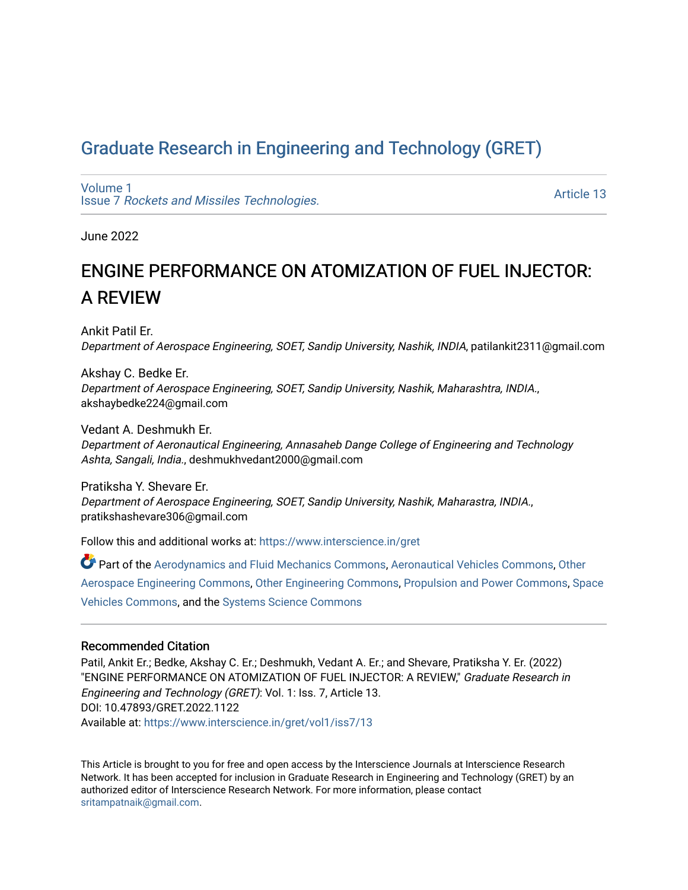## [Graduate Research in Engineering and Technology \(GRET\)](https://www.interscience.in/gret)

[Volume 1](https://www.interscience.in/gret/vol1) Issue 7 [Rockets and Missiles Technologies.](https://www.interscience.in/gret/vol1/iss7)

[Article 13](https://www.interscience.in/gret/vol1/iss7/13) 

June 2022

# ENGINE PERFORMANCE ON ATOMIZATION OF FUEL INJECTOR: A REVIEW

Ankit Patil Er. Department of Aerospace Engineering, SOET, Sandip University, Nashik, INDIA, patilankit2311@gmail.com

Akshay C. Bedke Er. Department of Aerospace Engineering, SOET, Sandip University, Nashik, Maharashtra, INDIA., akshaybedke224@gmail.com

Vedant A. Deshmukh Er. Department of Aeronautical Engineering, Annasaheb Dange College of Engineering and Technology Ashta, Sangali, India., deshmukhvedant2000@gmail.com

Pratiksha Y. Shevare Er. Department of Aerospace Engineering, SOET, Sandip University, Nashik, Maharastra, INDIA., pratikshashevare306@gmail.com

Follow this and additional works at: [https://www.interscience.in/gret](https://www.interscience.in/gret?utm_source=www.interscience.in%2Fgret%2Fvol1%2Fiss7%2F13&utm_medium=PDF&utm_campaign=PDFCoverPages)

Part of the [Aerodynamics and Fluid Mechanics Commons,](https://network.bepress.com/hgg/discipline/222?utm_source=www.interscience.in%2Fgret%2Fvol1%2Fiss7%2F13&utm_medium=PDF&utm_campaign=PDFCoverPages) [Aeronautical Vehicles Commons,](https://network.bepress.com/hgg/discipline/219?utm_source=www.interscience.in%2Fgret%2Fvol1%2Fiss7%2F13&utm_medium=PDF&utm_campaign=PDFCoverPages) [Other](https://network.bepress.com/hgg/discipline/228?utm_source=www.interscience.in%2Fgret%2Fvol1%2Fiss7%2F13&utm_medium=PDF&utm_campaign=PDFCoverPages)  [Aerospace Engineering Commons,](https://network.bepress.com/hgg/discipline/228?utm_source=www.interscience.in%2Fgret%2Fvol1%2Fiss7%2F13&utm_medium=PDF&utm_campaign=PDFCoverPages) [Other Engineering Commons](https://network.bepress.com/hgg/discipline/315?utm_source=www.interscience.in%2Fgret%2Fvol1%2Fiss7%2F13&utm_medium=PDF&utm_campaign=PDFCoverPages), [Propulsion and Power Commons](https://network.bepress.com/hgg/discipline/225?utm_source=www.interscience.in%2Fgret%2Fvol1%2Fiss7%2F13&utm_medium=PDF&utm_campaign=PDFCoverPages), [Space](https://network.bepress.com/hgg/discipline/220?utm_source=www.interscience.in%2Fgret%2Fvol1%2Fiss7%2F13&utm_medium=PDF&utm_campaign=PDFCoverPages) [Vehicles Commons](https://network.bepress.com/hgg/discipline/220?utm_source=www.interscience.in%2Fgret%2Fvol1%2Fiss7%2F13&utm_medium=PDF&utm_campaign=PDFCoverPages), and the [Systems Science Commons](https://network.bepress.com/hgg/discipline/1435?utm_source=www.interscience.in%2Fgret%2Fvol1%2Fiss7%2F13&utm_medium=PDF&utm_campaign=PDFCoverPages)

### Recommended Citation

Patil, Ankit Er.; Bedke, Akshay C. Er.; Deshmukh, Vedant A. Er.; and Shevare, Pratiksha Y. Er. (2022) "ENGINE PERFORMANCE ON ATOMIZATION OF FUEL INJECTOR: A REVIEW," Graduate Research in Engineering and Technology (GRET): Vol. 1: Iss. 7, Article 13. DOI: 10.47893/GRET.2022.1122 Available at: [https://www.interscience.in/gret/vol1/iss7/13](https://www.interscience.in/gret/vol1/iss7/13?utm_source=www.interscience.in%2Fgret%2Fvol1%2Fiss7%2F13&utm_medium=PDF&utm_campaign=PDFCoverPages) 

This Article is brought to you for free and open access by the Interscience Journals at Interscience Research Network. It has been accepted for inclusion in Graduate Research in Engineering and Technology (GRET) by an authorized editor of Interscience Research Network. For more information, please contact [sritampatnaik@gmail.com](mailto:sritampatnaik@gmail.com).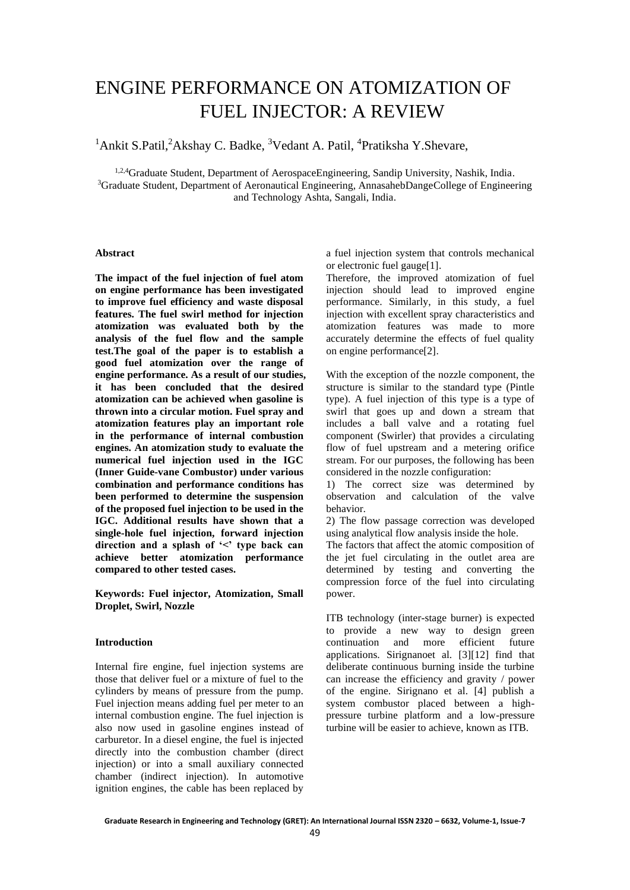## ENGINE PERFORMANCE ON ATOMIZATION OF FUEL INJECTOR: A REVIEW

<sup>1</sup>Ankit S.Patil,<sup>2</sup>Akshay C. Badke, <sup>3</sup>Vedant A. Patil, <sup>4</sup>Pratiksha Y. Shevare,

<sup>1,2,4</sup>Graduate Student, Department of AerospaceEngineering, Sandip University, Nashik, India. <sup>3</sup>Graduate Student, Department of Aeronautical Engineering, AnnasahebDangeCollege of Engineering and Technology Ashta, Sangali, India.

#### **Abstract**

**The impact of the fuel injection of fuel atom on engine performance has been investigated to improve fuel efficiency and waste disposal features. The fuel swirl method for injection atomization was evaluated both by the analysis of the fuel flow and the sample test.The goal of the paper is to establish a good fuel atomization over the range of engine performance. As a result of our studies, it has been concluded that the desired atomization can be achieved when gasoline is thrown into a circular motion. Fuel spray and atomization features play an important role in the performance of internal combustion engines. An atomization study to evaluate the numerical fuel injection used in the IGC (Inner Guide-vane Combustor) under various combination and performance conditions has been performed to determine the suspension of the proposed fuel injection to be used in the IGC. Additional results have shown that a single-hole fuel injection, forward injection direction and a splash of '<' type back can achieve better atomization performance compared to other tested cases.**

**Keywords: Fuel injector, Atomization, Small Droplet, Swirl, Nozzle**

#### **Introduction**

Internal fire engine, fuel injection systems are those that deliver fuel or a mixture of fuel to the cylinders by means of pressure from the pump. Fuel injection means adding fuel per meter to an internal combustion engine. The fuel injection is also now used in gasoline engines instead of carburetor. In a diesel engine, the fuel is injected directly into the combustion chamber (direct injection) or into a small auxiliary connected chamber (indirect injection). In automotive ignition engines, the cable has been replaced by

a fuel injection system that controls mechanical or electronic fuel gauge[1].

Therefore, the improved atomization of fuel injection should lead to improved engine performance. Similarly, in this study, a fuel injection with excellent spray characteristics and atomization features was made to more accurately determine the effects of fuel quality on engine performance[2].

With the exception of the nozzle component, the structure is similar to the standard type (Pintle type). A fuel injection of this type is a type of swirl that goes up and down a stream that includes a ball valve and a rotating fuel component (Swirler) that provides a circulating flow of fuel upstream and a metering orifice stream. For our purposes, the following has been considered in the nozzle configuration:

1) The correct size was determined by observation and calculation of the valve behavior.

2) The flow passage correction was developed using analytical flow analysis inside the hole.

The factors that affect the atomic composition of the jet fuel circulating in the outlet area are determined by testing and converting the compression force of the fuel into circulating power.

ITB technology (inter-stage burner) is expected to provide a new way to design green<br>continuation and more efficient future continuation and more efficient applications. Sirignanoet al. [3][12] find that deliberate continuous burning inside the turbine can increase the efficiency and gravity / power of the engine. Sirignano et al. [4] publish a system combustor placed between a highpressure turbine platform and a low-pressure turbine will be easier to achieve, known as ITB.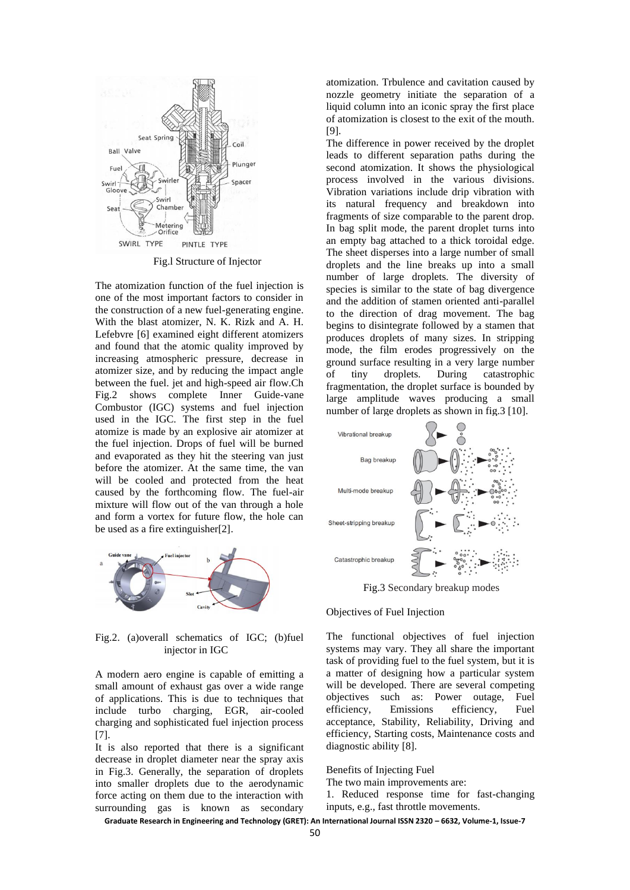

Fig.l Structure of Injector

The atomization function of the fuel injection is one of the most important factors to consider in the construction of a new fuel-generating engine. With the blast atomizer, N. K. Rizk and A. H. Lefebvre [6] examined eight different atomizers and found that the atomic quality improved by increasing atmospheric pressure, decrease in atomizer size, and by reducing the impact angle between the fuel. jet and high-speed air flow.Ch Fig.2 shows complete Inner Guide-vane Combustor (IGC) systems and fuel injection used in the IGC. The first step in the fuel atomize is made by an explosive air atomizer at the fuel injection. Drops of fuel will be burned and evaporated as they hit the steering van just before the atomizer. At the same time, the van will be cooled and protected from the heat caused by the forthcoming flow. The fuel-air mixture will flow out of the van through a hole and form a vortex for future flow, the hole can be used as a fire extinguisher[2].



Fig.2. (a)overall schematics of IGC; (b)fuel injector in IGC

A modern aero engine is capable of emitting a small amount of exhaust gas over a wide range of applications. This is due to techniques that include turbo charging, EGR, air-cooled charging and sophisticated fuel injection process [7].

It is also reported that there is a significant decrease in droplet diameter near the spray axis in Fig.3. Generally, the separation of droplets into smaller droplets due to the aerodynamic force acting on them due to the interaction with surrounding gas is known as secondary

atomization. Trbulence and cavitation caused by nozzle geometry initiate the separation of a liquid column into an iconic spray the first place of atomization is closest to the exit of the mouth. [9].

The difference in power received by the droplet leads to different separation paths during the second atomization. It shows the physiological process involved in the various divisions. Vibration variations include drip vibration with its natural frequency and breakdown into fragments of size comparable to the parent drop. In bag split mode, the parent droplet turns into an empty bag attached to a thick toroidal edge. The sheet disperses into a large number of small droplets and the line breaks up into a small number of large droplets. The diversity of species is similar to the state of bag divergence and the addition of stamen oriented anti-parallel to the direction of drag movement. The bag begins to disintegrate followed by a stamen that produces droplets of many sizes. In stripping mode, the film erodes progressively on the ground surface resulting in a very large number of tiny droplets. During catastrophic fragmentation, the droplet surface is bounded by large amplitude waves producing a small number of large droplets as shown in fig.3 [10].



Fig.3 Secondary breakup modes

#### Objectives of Fuel Injection

The functional objectives of fuel injection systems may vary. They all share the important task of providing fuel to the fuel system, but it is a matter of designing how a particular system will be developed. There are several competing objectives such as: Power outage, Fuel efficiency, Emissions efficiency, Fuel acceptance, Stability, Reliability, Driving and efficiency, Starting costs, Maintenance costs and diagnostic ability [8].

Benefits of Injecting Fuel

The two main improvements are:

1. Reduced response time for fast-changing inputs, e.g., fast throttle movements.

**Graduate Research in Engineering and Technology (GRET): An International Journal ISSN 2320 – 6632, Volume-1, Issue-7**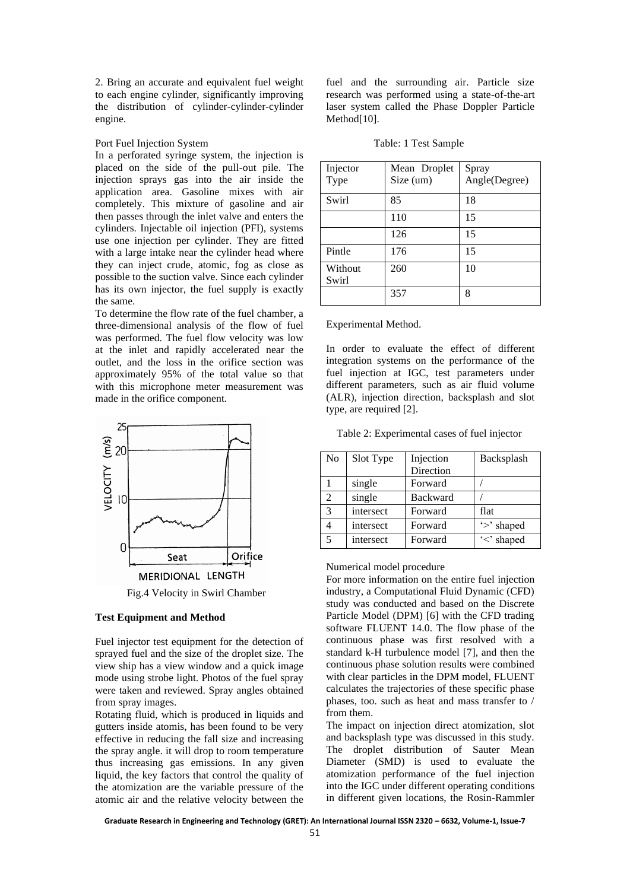2. Bring an accurate and equivalent fuel weight to each engine cylinder, significantly improving the distribution of cylinder-cylinder-cylinder engine.

Port Fuel Injection System

In a perforated syringe system, the injection is placed on the side of the pull-out pile. The injection sprays gas into the air inside the application area. Gasoline mixes with air completely. This mixture of gasoline and air then passes through the inlet valve and enters the cylinders. Injectable oil injection (PFI), systems use one injection per cylinder. They are fitted with a large intake near the cylinder head where they can inject crude, atomic, fog as close as possible to the suction valve. Since each cylinder has its own injector, the fuel supply is exactly the same.

To determine the flow rate of the fuel chamber, a three-dimensional analysis of the flow of fuel was performed. The fuel flow velocity was low at the inlet and rapidly accelerated near the outlet, and the loss in the orifice section was approximately 95% of the total value so that with this microphone meter measurement was made in the orifice component.



#### **Test Equipment and Method**

Fuel injector test equipment for the detection of sprayed fuel and the size of the droplet size. The view ship has a view window and a quick image mode using strobe light. Photos of the fuel spray were taken and reviewed. Spray angles obtained from spray images.

Rotating fluid, which is produced in liquids and gutters inside atomis, has been found to be very effective in reducing the fall size and increasing the spray angle. it will drop to room temperature thus increasing gas emissions. In any given liquid, the key factors that control the quality of the atomization are the variable pressure of the atomic air and the relative velocity between the fuel and the surrounding air. Particle size research was performed using a state-of-the-art laser system called the Phase Doppler Particle Method<sup>[10]</sup>.

| Injector<br>Type | Mean Droplet<br>Size (um) | Spray<br>Angle(Degree) |
|------------------|---------------------------|------------------------|
| Swirl            | 85                        | 18                     |
|                  | 110                       | 15                     |
|                  | 126                       | 15                     |
| Pintle           | 176                       | 15                     |
| Without<br>Swirl | 260                       | 10                     |
|                  | 357                       | 8                      |

Table: 1 Test Sample

Experimental Method.

In order to evaluate the effect of different integration systems on the performance of the fuel injection at IGC, test parameters under different parameters, such as air fluid volume (ALR), injection direction, backsplash and slot type, are required [2].

Table 2: Experimental cases of fuel injector

| N <sub>o</sub> | Slot Type | Injection<br>Direction | Backsplash |
|----------------|-----------|------------------------|------------|
|                | single    | Forward                |            |
| $\mathfrak{D}$ | single    | <b>Backward</b>        |            |
| 3              | intersect | Forward                | flat       |
|                | intersect | Forward                | '>' shaped |
|                | intersect | Forward                | '<' shaped |

#### Numerical model procedure

For more information on the entire fuel injection industry, a Computational Fluid Dynamic (CFD) study was conducted and based on the Discrete Particle Model (DPM) [6] with the CFD trading software FLUENT 14.0. The flow phase of the continuous phase was first resolved with a standard k-H turbulence model [7], and then the continuous phase solution results were combined with clear particles in the DPM model, FLUENT calculates the trajectories of these specific phase phases, too. such as heat and mass transfer to / from them.

The impact on injection direct atomization, slot and backsplash type was discussed in this study. The droplet distribution of Sauter Mean Diameter (SMD) is used to evaluate the atomization performance of the fuel injection into the IGC under different operating conditions in different given locations, the Rosin-Rammler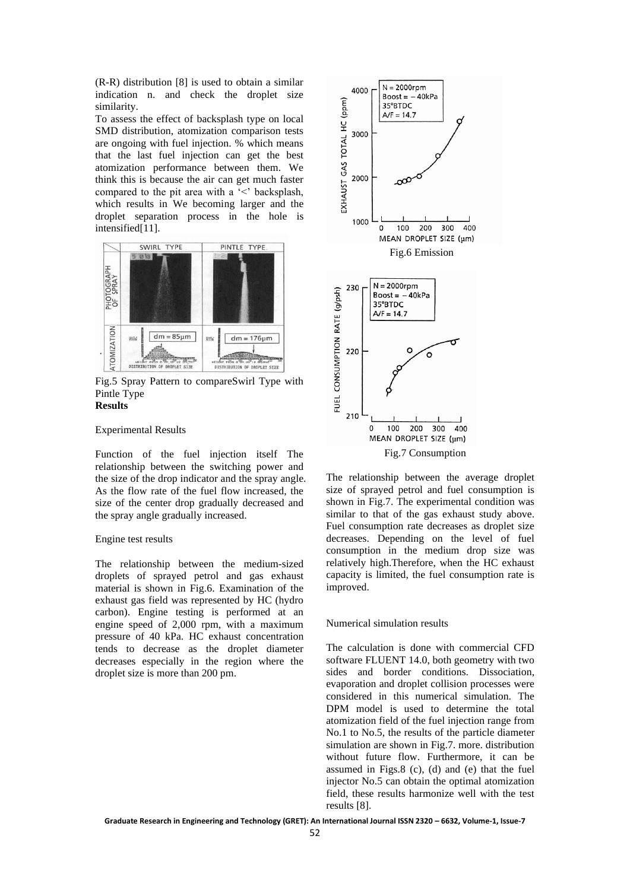(R-R) distribution [8] is used to obtain a similar indication n. and check the droplet size similarity.

To assess the effect of backsplash type on local SMD distribution, atomization comparison tests are ongoing with fuel injection. % which means that the last fuel injection can get the best atomization performance between them. We think this is because the air can get much faster compared to the pit area with a '<' backsplash, which results in We becoming larger and the droplet separation process in the hole is intensified[11].



Fig.5 Spray Pattern to compareSwirl Type with Pintle Type **Results** 

#### Experimental Results

Function of the fuel injection itself The relationship between the switching power and the size of the drop indicator and the spray angle. As the flow rate of the fuel flow increased, the size of the center drop gradually decreased and the spray angle gradually increased.

#### Engine test results

The relationship between the medium-sized droplets of sprayed petrol and gas exhaust material is shown in Fig.6. Examination of the exhaust gas field was represented by HC (hydro carbon). Engine testing is performed at an engine speed of 2,000 rpm, with a maximum pressure of 40 kPa. HC exhaust concentration tends to decrease as the droplet diameter decreases especially in the region where the droplet size is more than 200 pm.



The relationship between the average droplet size of sprayed petrol and fuel consumption is shown in Fig.7. The experimental condition was similar to that of the gas exhaust study above. Fuel consumption rate decreases as droplet size decreases. Depending on the level of fuel consumption in the medium drop size was relatively high.Therefore, when the HC exhaust capacity is limited, the fuel consumption rate is improved.

#### Numerical simulation results

The calculation is done with commercial CFD software FLUENT 14.0, both geometry with two sides and border conditions. Dissociation, evaporation and droplet collision processes were considered in this numerical simulation. The DPM model is used to determine the total atomization field of the fuel injection range from No.1 to No.5, the results of the particle diameter simulation are shown in Fig.7. more. distribution without future flow. Furthermore, it can be assumed in Figs.8 (c), (d) and (e) that the fuel injector No.5 can obtain the optimal atomization field, these results harmonize well with the test results [8].